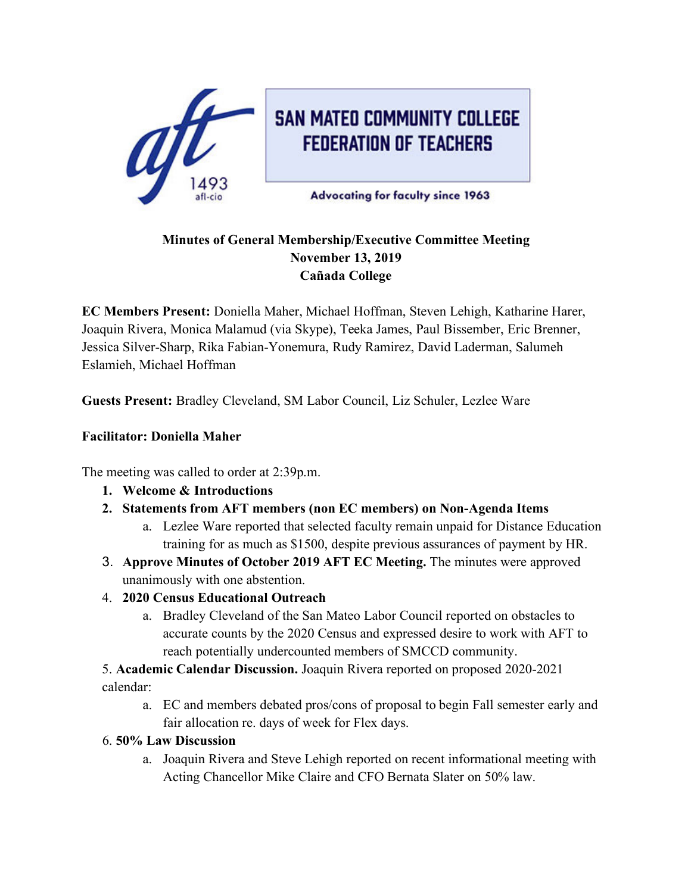

**SAN MATEO COMMUNITY COLLEGE FEDERATION OF TEACHERS** 

**Advocating for faculty since 1963** 

## **Minutes of General Membership/Executive Committee Meeting November 13, 2019 Cañada College**

**EC Members Present:** Doniella Maher, Michael Hoffman, Steven Lehigh, Katharine Harer, Joaquin Rivera, Monica Malamud (via Skype), Teeka James, Paul Bissember, Eric Brenner, Jessica Silver-Sharp, Rika Fabian-Yonemura, Rudy Ramirez, David Laderman, Salumeh Eslamieh, Michael Hoffman

**Guests Present:** Bradley Cleveland, SM Labor Council, Liz Schuler, Lezlee Ware

### **Facilitator: Doniella Maher**

The meeting was called to order at 2:39p.m.

- **1. Welcome & Introductions**
- **2. Statements from AFT members (non EC members) on Non-Agenda Items** 
	- a. Lezlee Ware reported that selected faculty remain unpaid for Distance Education training for as much as \$1500, despite previous assurances of payment by HR.
- 3. **Approve Minutes of October 2019 AFT EC Meeting.** The minutes were approved unanimously with one abstention.
- 4. **2020 Census Educational Outreach**
	- a. Bradley Cleveland of the San Mateo Labor Council reported on obstacles to accurate counts by the 2020 Census and expressed desire to work with AFT to reach potentially undercounted members of SMCCD community.
- 5. **Academic Calendar Discussion.** Joaquin Rivera reported on proposed 2020-2021 calendar:
	- a. EC and members debated pros/cons of proposal to begin Fall semester early and fair allocation re. days of week for Flex days.

### 6. **50% Law Discussion**

a. Joaquin Rivera and Steve Lehigh reported on recent informational meeting with Acting Chancellor Mike Claire and CFO Bernata Slater on 50% law.